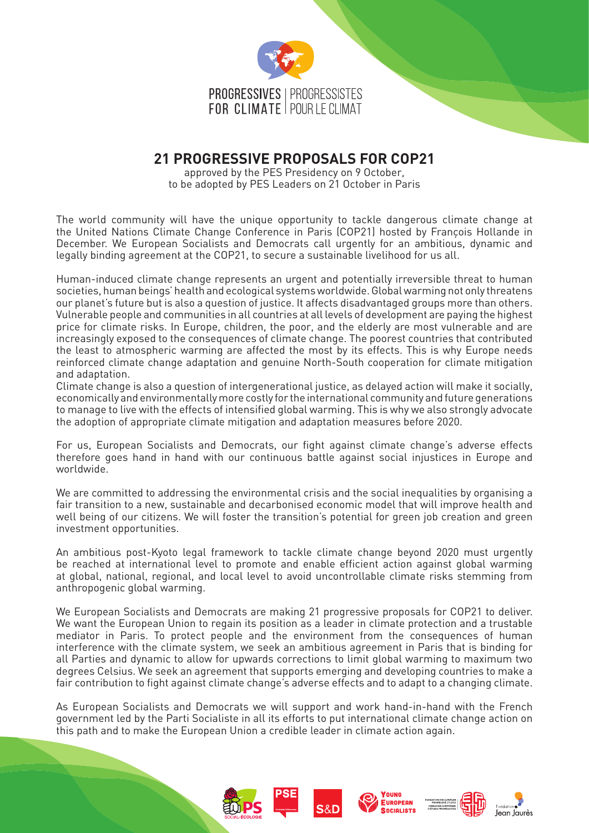

# **21 PROGRESSIVE PROPOSALS FOR COP21**

approved by the PES Presidency on 9 October, to be adopted by PES Leaders on 21 October in Paris

The world community will have the unique opportunity to tackle dangerous climate change at the United Nations Climate Change Conference in Paris (COP21) hosted by François Hollande in December. We European Socialists and Democrats call urgently for an ambitious, dynamic and legally binding agreement at the COP21, to secure a sustainable livelihood for us all.

Human-induced climate change represents an urgent and potentially irreversible threat to human societies, human beings' health and ecological systems worldwide. Global warming not only threatens our planet's future but is also a question of justice. It affects disadvantaged groups more than others. Vulnerable people and communities in all countries at all levels of development are paying the highest price for climate risks. In Europe, children, the poor, and the elderly are most vulnerable and are increasingly exposed to the consequences of climate change. The poorest countries that contributed the least to atmospheric warming are affected the most by its effects. This is why Europe needs reinforced climate change adaptation and genuine North-South cooperation for climate mitigation and adaptation.

Climate change is also a question of intergenerational justice, as delayed action will make it socially, economically and environmentally more costly for the international community and future generations to manage to live with the effects of intensified global warming. This is why we also strongly advocate the adoption of appropriate climate mitigation and adaptation measures before 2020.

For us, European Socialists and Democrats, our fight against climate change's adverse effects therefore goes hand in hand with our continuous battle against social injustices in Europe and worldwide.

We are committed to addressing the environmental crisis and the social inequalities by organising a fair transition to a new, sustainable and decarbonised economic model that will improve health and well being of our citizens. We will foster the transition's potential for green job creation and green investment opportunities.

An ambitious post-Kyoto legal framework to tackle climate change beyond 2020 must urgently be reached at international level to promote and enable efficient action against global warming at global, national, regional, and local level to avoid uncontrollable climate risks stemming from anthropogenic global warming.

We European Socialists and Democrats are making 21 progressive proposals for COP21 to deliver. We want the European Union to regain its position as a leader in climate protection and a trustable mediator in Paris. To protect people and the environment from the consequences of human interference with the climate system, we seek an ambitious agreement in Paris that is binding for all Parties and dynamic to allow for upwards corrections to limit global warming to maximum two degrees Celsius. We seek an agreement that supports emerging and developing countries to make a fair contribution to fight against climate change's adverse effects and to adapt to a changing climate.

As European Socialists and Democrats we will support and work hand-in-hand with the French government led by the Parti Socialiste in all its efforts to put international climate change action on this path and to make the European Union a credible leader in climate action again.



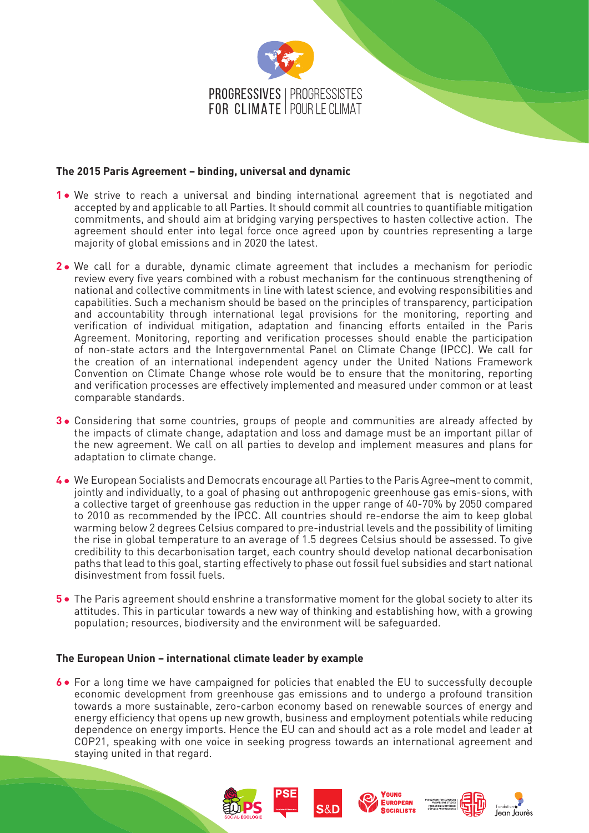

## **The 2015 Paris Agreement – binding, universal and dynamic**

- **1** We strive to reach a universal and binding international agreement that is negotiated and accepted by and applicable to all Parties. It should commit all countries to quantifiable mitigation commitments, and should aim at bridging varying perspectives to hasten collective action. The agreement should enter into legal force once agreed upon by countries representing a large majority of global emissions and in 2020 the latest.
- 2. We call for a durable, dynamic climate agreement that includes a mechanism for periodic review every five years combined with a robust mechanism for the continuous strengthening of national and collective commitments in line with latest science, and evolving responsibilities and capabilities. Such a mechanism should be based on the principles of transparency, participation and accountability through international legal provisions for the monitoring, reporting and verification of individual mitigation, adaptation and financing efforts entailed in the Paris Agreement. Monitoring, reporting and verification processes should enable the participation of non-state actors and the Intergovernmental Panel on Climate Change (IPCC). We call for the creation of an international independent agency under the United Nations Framework Convention on Climate Change whose role would be to ensure that the monitoring, reporting and verification processes are effectively implemented and measured under common or at least comparable standards.
- **3** Considering that some countries, groups of people and communities are already affected by the impacts of climate change, adaptation and loss and damage must be an important pillar of the new agreement. We call on all parties to develop and implement measures and plans for adaptation to climate change.
- **4** We European Socialists and Democrats encourage all Parties to the Paris Agree¬ment to commit, jointly and individually, to a goal of phasing out anthropogenic greenhouse gas emis-sions, with a collective target of greenhouse gas reduction in the upper range of 40-70% by 2050 compared to 2010 as recommended by the IPCC. All countries should re-endorse the aim to keep global warming below 2 degrees Celsius compared to pre-industrial levels and the possibility of limiting the rise in global temperature to an average of 1.5 degrees Celsius should be assessed. To give credibility to this decarbonisation target, each country should develop national decarbonisation paths that lead to this goal, starting effectively to phase out fossil fuel subsidies and start national disinvestment from fossil fuels.
- **5** The Paris agreement should enshrine a transformative moment for the global society to alter its attitudes. This in particular towards a new way of thinking and establishing how, with a growing population; resources, biodiversity and the environment will be safeguarded.

## **The European Union – international climate leader by example**

**6** • For a long time we have campaigned for policies that enabled the EU to successfully decouple economic development from greenhouse gas emissions and to undergo a profound transition towards a more sustainable, zero-carbon economy based on renewable sources of energy and energy efficiency that opens up new growth, business and employment potentials while reducing dependence on energy imports. Hence the EU can and should act as a role model and leader at COP21, speaking with one voice in seeking progress towards an international agreement and staying united in that regard.

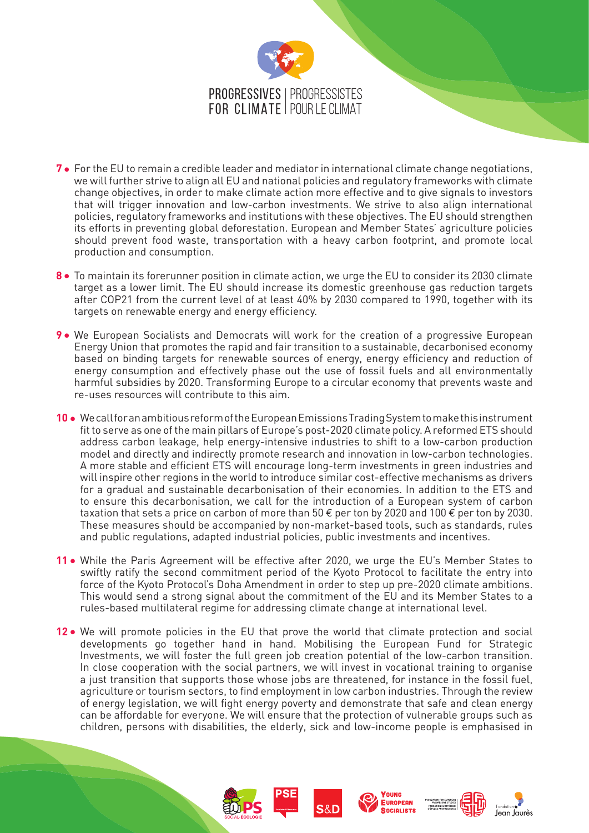

- **7 •** For the EU to remain a credible leader and mediator in international climate change negotiations, we will further strive to align all EU and national policies and regulatory frameworks with climate change objectives, in order to make climate action more effective and to give signals to investors that will trigger innovation and low-carbon investments. We strive to also align international policies, regulatory frameworks and institutions with these objectives. The EU should strengthen its efforts in preventing global deforestation. European and Member States' agriculture policies should prevent food waste, transportation with a heavy carbon footprint, and promote local production and consumption.
- **8** To maintain its forerunner position in climate action, we urge the EU to consider its 2030 climate target as a lower limit. The EU should increase its domestic greenhouse gas reduction targets after COP21 from the current level of at least 40% by 2030 compared to 1990, together with its targets on renewable energy and energy efficiency.
- **9** We European Socialists and Democrats will work for the creation of a progressive European Energy Union that promotes the rapid and fair transition to a sustainable, decarbonised economy based on binding targets for renewable sources of energy, energy efficiency and reduction of energy consumption and effectively phase out the use of fossil fuels and all environmentally harmful subsidies by 2020. Transforming Europe to a circular economy that prevents waste and re-uses resources will contribute to this aim.
- **10** We call for an ambitious reform of the European Emissions Trading System to make this instrument fit to serve as one of the main pillars of Europe's post-2020 climate policy. A reformed ETS should address carbon leakage, help energy-intensive industries to shift to a low-carbon production model and directly and indirectly promote research and innovation in low-carbon technologies. A more stable and efficient ETS will encourage long-term investments in green industries and will inspire other regions in the world to introduce similar cost-effective mechanisms as drivers for a gradual and sustainable decarbonisation of their economies. In addition to the ETS and to ensure this decarbonisation, we call for the introduction of a European system of carbon taxation that sets a price on carbon of more than 50  $\epsilon$  per ton by 2020 and 100  $\epsilon$  per ton by 2030. These measures should be accompanied by non-market-based tools, such as standards, rules and public regulations, adapted industrial policies, public investments and incentives.
- 11 While the Paris Agreement will be effective after 2020, we urge the EU's Member States to swiftly ratify the second commitment period of the Kyoto Protocol to facilitate the entry into force of the Kyoto Protocol's Doha Amendment in order to step up pre-2020 climate ambitions. This would send a strong signal about the commitment of the EU and its Member States to a rules-based multilateral regime for addressing climate change at international level.
- 12. We will promote policies in the EU that prove the world that climate protection and social developments go together hand in hand. Mobilising the European Fund for Strategic Investments, we will foster the full green job creation potential of the low-carbon transition. In close cooperation with the social partners, we will invest in vocational training to organise a just transition that supports those whose jobs are threatened, for instance in the fossil fuel, agriculture or tourism sectors, to find employment in low carbon industries. Through the review of energy legislation, we will fight energy poverty and demonstrate that safe and clean energy can be affordable for everyone. We will ensure that the protection of vulnerable groups such as children, persons with disabilities, the elderly, sick and low-income people is emphasised in









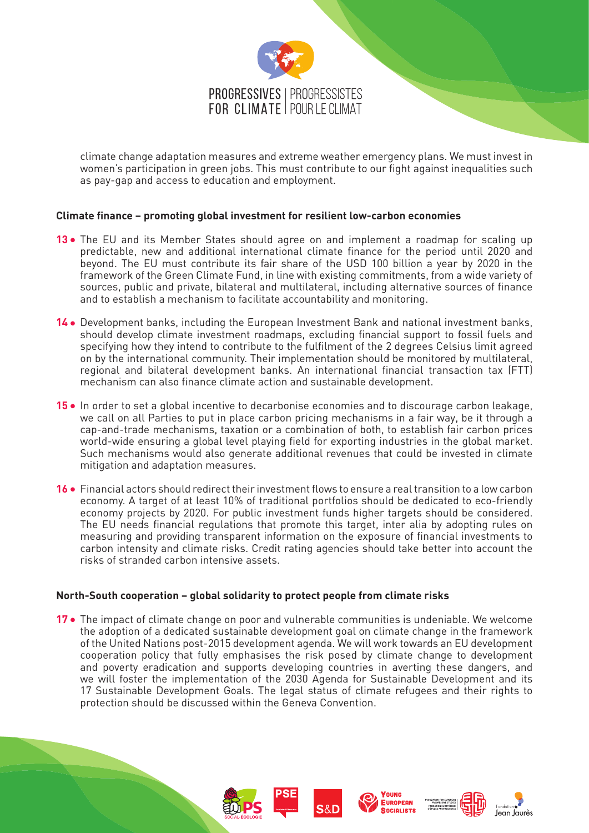

climate change adaptation measures and extreme weather emergency plans. We must invest in women's participation in green jobs. This must contribute to our fight against inequalities such as pay-gap and access to education and employment.

### **Climate finance – promoting global investment for resilient low-carbon economies**

- **13** The EU and its Member States should agree on and implement a roadmap for scaling up predictable, new and additional international climate finance for the period until 2020 and beyond. The EU must contribute its fair share of the USD 100 billion a year by 2020 in the framework of the Green Climate Fund, in line with existing commitments, from a wide variety of sources, public and private, bilateral and multilateral, including alternative sources of finance and to establish a mechanism to facilitate accountability and monitoring.
- 14 Development banks, including the European Investment Bank and national investment banks, should develop climate investment roadmaps, excluding financial support to fossil fuels and specifying how they intend to contribute to the fulfilment of the 2 degrees Celsius limit agreed on by the international community. Their implementation should be monitored by multilateral, regional and bilateral development banks. An international financial transaction tax (FTT) mechanism can also finance climate action and sustainable development.
- 15 In order to set a global incentive to decarbonise economies and to discourage carbon leakage, we call on all Parties to put in place carbon pricing mechanisms in a fair way, be it through a cap-and-trade mechanisms, taxation or a combination of both, to establish fair carbon prices world-wide ensuring a global level playing field for exporting industries in the global market. Such mechanisms would also generate additional revenues that could be invested in climate mitigation and adaptation measures.
- **16 •** Financial actors should redirect their investment flows to ensure a real transition to a low carbon economy. A target of at least 10% of traditional portfolios should be dedicated to eco-friendly economy projects by 2020. For public investment funds higher targets should be considered. The EU needs financial regulations that promote this target, inter alia by adopting rules on measuring and providing transparent information on the exposure of financial investments to carbon intensity and climate risks. Credit rating agencies should take better into account the risks of stranded carbon intensive assets.

#### **North-South cooperation – global solidarity to protect people from climate risks**

**17** • The impact of climate change on poor and vulnerable communities is undeniable. We welcome the adoption of a dedicated sustainable development goal on climate change in the framework of the United Nations post-2015 development agenda. We will work towards an EU development cooperation policy that fully emphasises the risk posed by climate change to development and poverty eradication and supports developing countries in averting these dangers, and we will foster the implementation of the 2030 Agenda for Sustainable Development and its 17 Sustainable Development Goals. The legal status of climate refugees and their rights to protection should be discussed within the Geneva Convention.